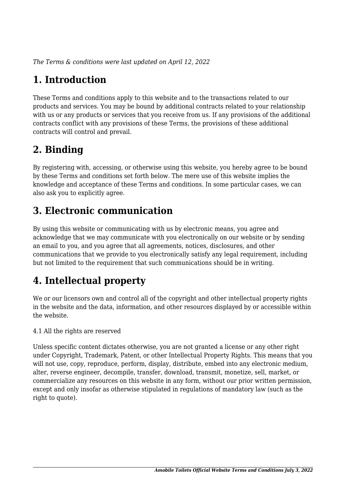*The Terms & conditions were last updated on April 12, 2022*

# **1. Introduction**

These Terms and conditions apply to this website and to the transactions related to our products and services. You may be bound by additional contracts related to your relationship with us or any products or services that you receive from us. If any provisions of the additional contracts conflict with any provisions of these Terms, the provisions of these additional contracts will control and prevail.

# **2. Binding**

By registering with, accessing, or otherwise using this website, you hereby agree to be bound by these Terms and conditions set forth below. The mere use of this website implies the knowledge and acceptance of these Terms and conditions. In some particular cases, we can also ask you to explicitly agree.

# **3. Electronic communication**

By using this website or communicating with us by electronic means, you agree and acknowledge that we may communicate with you electronically on our website or by sending an email to you, and you agree that all agreements, notices, disclosures, and other communications that we provide to you electronically satisfy any legal requirement, including but not limited to the requirement that such communications should be in writing.

# **4. Intellectual property**

We or our licensors own and control all of the copyright and other intellectual property rights in the website and the data, information, and other resources displayed by or accessible within the website.

4.1 All the rights are reserved

Unless specific content dictates otherwise, you are not granted a license or any other right under Copyright, Trademark, Patent, or other Intellectual Property Rights. This means that you will not use, copy, reproduce, perform, display, distribute, embed into any electronic medium, alter, reverse engineer, decompile, transfer, download, transmit, monetize, sell, market, or commercialize any resources on this website in any form, without our prior written permission, except and only insofar as otherwise stipulated in regulations of mandatory law (such as the right to quote).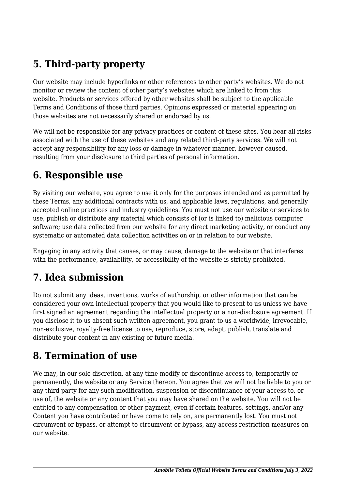# **5. Third-party property**

Our website may include hyperlinks or other references to other party's websites. We do not monitor or review the content of other party's websites which are linked to from this website. Products or services offered by other websites shall be subject to the applicable Terms and Conditions of those third parties. Opinions expressed or material appearing on those websites are not necessarily shared or endorsed by us.

We will not be responsible for any privacy practices or content of these sites. You bear all risks associated with the use of these websites and any related third-party services. We will not accept any responsibility for any loss or damage in whatever manner, however caused, resulting from your disclosure to third parties of personal information.

#### **6. Responsible use**

By visiting our website, you agree to use it only for the purposes intended and as permitted by these Terms, any additional contracts with us, and applicable laws, regulations, and generally accepted online practices and industry guidelines. You must not use our website or services to use, publish or distribute any material which consists of (or is linked to) malicious computer software; use data collected from our website for any direct marketing activity, or conduct any systematic or automated data collection activities on or in relation to our website.

Engaging in any activity that causes, or may cause, damage to the website or that interferes with the performance, availability, or accessibility of the website is strictly prohibited.

## **7. Idea submission**

Do not submit any ideas, inventions, works of authorship, or other information that can be considered your own intellectual property that you would like to present to us unless we have first signed an agreement regarding the intellectual property or a non-disclosure agreement. If you disclose it to us absent such written agreement, you grant to us a worldwide, irrevocable, non-exclusive, royalty-free license to use, reproduce, store, adapt, publish, translate and distribute your content in any existing or future media.

### **8. Termination of use**

We may, in our sole discretion, at any time modify or discontinue access to, temporarily or permanently, the website or any Service thereon. You agree that we will not be liable to you or any third party for any such modification, suspension or discontinuance of your access to, or use of, the website or any content that you may have shared on the website. You will not be entitled to any compensation or other payment, even if certain features, settings, and/or any Content you have contributed or have come to rely on, are permanently lost. You must not circumvent or bypass, or attempt to circumvent or bypass, any access restriction measures on our website.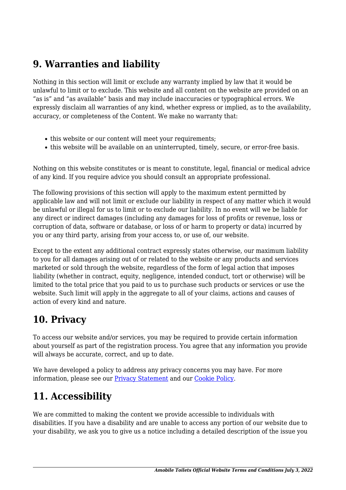### **9. Warranties and liability**

Nothing in this section will limit or exclude any warranty implied by law that it would be unlawful to limit or to exclude. This website and all content on the website are provided on an "as is" and "as available" basis and may include inaccuracies or typographical errors. We expressly disclaim all warranties of any kind, whether express or implied, as to the availability, accuracy, or completeness of the Content. We make no warranty that:

- this website or our content will meet your requirements;
- this website will be available on an uninterrupted, timely, secure, or error-free basis.

Nothing on this website constitutes or is meant to constitute, legal, financial or medical advice of any kind. If you require advice you should consult an appropriate professional.

The following provisions of this section will apply to the maximum extent permitted by applicable law and will not limit or exclude our liability in respect of any matter which it would be unlawful or illegal for us to limit or to exclude our liability. In no event will we be liable for any direct or indirect damages (including any damages for loss of profits or revenue, loss or corruption of data, software or database, or loss of or harm to property or data) incurred by you or any third party, arising from your access to, or use of, our website.

Except to the extent any additional contract expressly states otherwise, our maximum liability to you for all damages arising out of or related to the website or any products and services marketed or sold through the website, regardless of the form of legal action that imposes liability (whether in contract, equity, negligence, intended conduct, tort or otherwise) will be limited to the total price that you paid to us to purchase such products or services or use the website. Such limit will apply in the aggregate to all of your claims, actions and causes of action of every kind and nature.

### **10. Privacy**

To access our website and/or services, you may be required to provide certain information about yourself as part of the registration process. You agree that any information you provide will always be accurate, correct, and up to date.

We have developed a policy to address any privacy concerns you may have. For more information, please see our **Privacy Statement** and our [Cookie Policy](https://amobiletoilets.com.ng/cookie-policy-eu/).

# **11. Accessibility**

We are committed to making the content we provide accessible to individuals with disabilities. If you have a disability and are unable to access any portion of our website due to your disability, we ask you to give us a notice including a detailed description of the issue you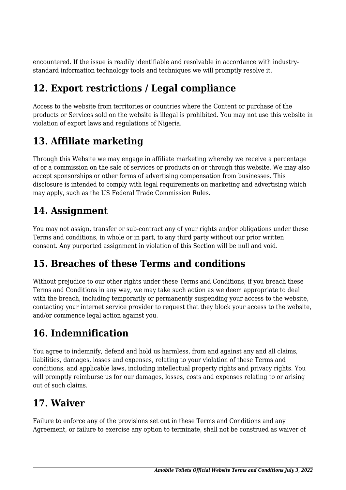encountered. If the issue is readily identifiable and resolvable in accordance with industrystandard information technology tools and techniques we will promptly resolve it.

# **12. Export restrictions / Legal compliance**

Access to the website from territories or countries where the Content or purchase of the products or Services sold on the website is illegal is prohibited. You may not use this website in violation of export laws and regulations of Nigeria.

# **13. Affiliate marketing**

Through this Website we may engage in affiliate marketing whereby we receive a percentage of or a commission on the sale of services or products on or through this website. We may also accept sponsorships or other forms of advertising compensation from businesses. This disclosure is intended to comply with legal requirements on marketing and advertising which may apply, such as the US Federal Trade Commission Rules.

## **14. Assignment**

You may not assign, transfer or sub-contract any of your rights and/or obligations under these Terms and conditions, in whole or in part, to any third party without our prior written consent. Any purported assignment in violation of this Section will be null and void.

## **15. Breaches of these Terms and conditions**

Without prejudice to our other rights under these Terms and Conditions, if you breach these Terms and Conditions in any way, we may take such action as we deem appropriate to deal with the breach, including temporarily or permanently suspending your access to the website, contacting your internet service provider to request that they block your access to the website, and/or commence legal action against you.

## **16. Indemnification**

You agree to indemnify, defend and hold us harmless, from and against any and all claims, liabilities, damages, losses and expenses, relating to your violation of these Terms and conditions, and applicable laws, including intellectual property rights and privacy rights. You will promptly reimburse us for our damages, losses, costs and expenses relating to or arising out of such claims.

### **17. Waiver**

Failure to enforce any of the provisions set out in these Terms and Conditions and any Agreement, or failure to exercise any option to terminate, shall not be construed as waiver of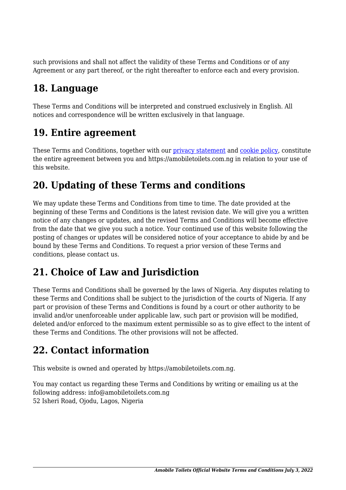such provisions and shall not affect the validity of these Terms and Conditions or of any Agreement or any part thereof, or the right thereafter to enforce each and every provision.

## **18. Language**

These Terms and Conditions will be interpreted and construed exclusively in English. All notices and correspondence will be written exclusively in that language.

#### **19. Entire agreement**

These Terms and Conditions, together with our privacy statement and [cookie policy,](https://amobiletoilets.com.ng/cookie-policy-eu/) constitute the entire agreement between you and https://amobiletoilets.com.ng in relation to your use of this website.

### **20. Updating of these Terms and conditions**

We may update these Terms and Conditions from time to time. The date provided at the beginning of these Terms and Conditions is the latest revision date. We will give you a written notice of any changes or updates, and the revised Terms and Conditions will become effective from the date that we give you such a notice. Your continued use of this website following the posting of changes or updates will be considered notice of your acceptance to abide by and be bound by these Terms and Conditions. To request a prior version of these Terms and conditions, please contact us.

### **21. Choice of Law and Jurisdiction**

These Terms and Conditions shall be governed by the laws of Nigeria. Any disputes relating to these Terms and Conditions shall be subject to the jurisdiction of the courts of Nigeria. If any part or provision of these Terms and Conditions is found by a court or other authority to be invalid and/or unenforceable under applicable law, such part or provision will be modified, deleted and/or enforced to the maximum extent permissible so as to give effect to the intent of these Terms and Conditions. The other provisions will not be affected.

## **22. Contact information**

This website is owned and operated by https://amobiletoilets.com.ng.

You may contact us regarding these Terms and Conditions by writing or emailing us at the following address: info@amobiletoilets.com.ng 52 Isheri Road, Ojodu, Lagos, Nigeria